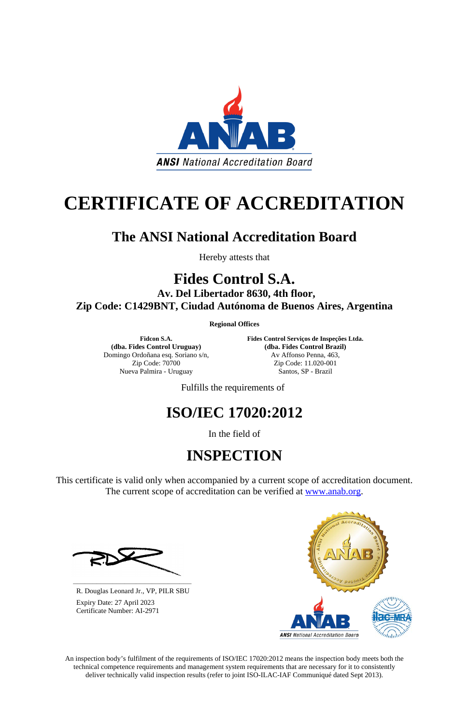An inspection body's fulfilment of the requirements of ISO/IEC 17020:2012 means the inspection body meets both the technical competence requirements and management system requirements that are necessary for it to consistently deliver technically valid inspection results (refer to joint ISO-ILAC-IAF Communiqué dated Sept 2013).



# **CERTIFICATE OF ACCREDITATION**

### **The ANSI National Accreditation Board**

Hereby attests that

### **Fides Control S.A.**

This certificate is valid only when accompanied by a current scope of accreditation document. The current scope of accreditation can be verified at [www.anab.org.](http://www.anab.org/)

**Av. Del Libertador 8630, 4th floor, Zip Code: C1429BNT, Ciudad Autónoma de Buenos Aires, Argentina** 

**Regional Offices**

**Fidcon S.A. (dba. Fides Control Uruguay)** Domingo Ordoñana esq. Soriano s/n, Zip Code: 70700 Nueva Palmira - Uruguay

**Fides Control Serviços de Inspeções Ltda. (dba. Fides Control Brazil)** Av Affonso Penna, 463, Zip Code: 11.020-001 Santos, SP - Brazil

Fulfills the requirements of

## **ISO/IEC 17020:2012**

In the field of

## **INSPECTION**





**\_\_\_\_\_\_\_\_\_\_\_\_\_\_\_\_\_\_\_\_\_\_\_\_\_\_\_\_\_\_** R. Douglas Leonard Jr., VP, PILR SBU

 Expiry Date: 27 April 2023 Certificate Number: AI-2971